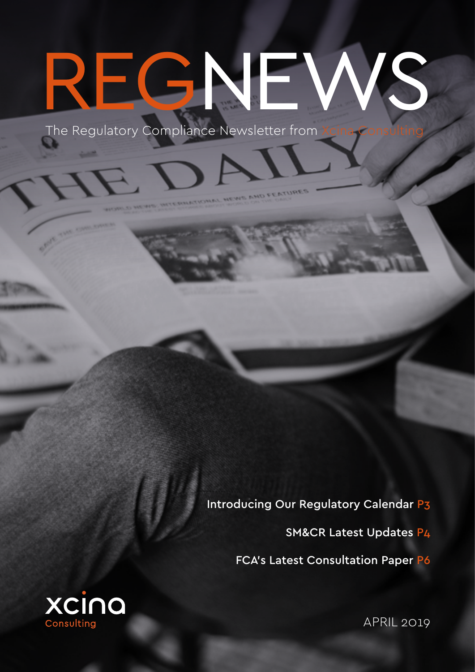# EGNEV

The Regulatory Compliance Newsletter from Xc

Introducing Our Regulatory Calendar P3

SM&CR Latest Updates P4

FCA's Latest Consultation Paper P6



APRIL 2019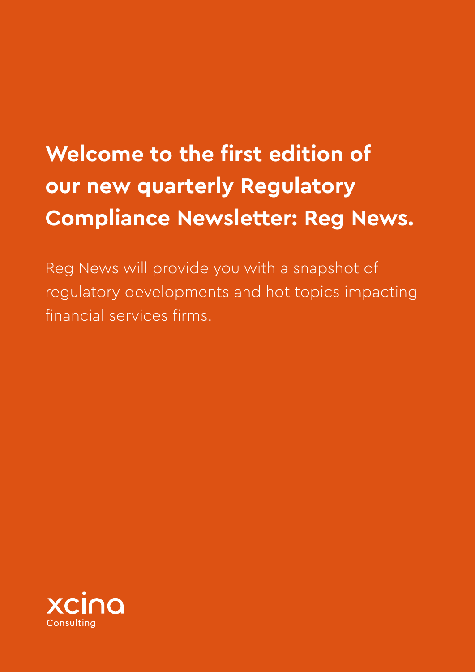## **Welcome to the first edition of our new quarterly Regulatory Compliance Newsletter: Reg News.**

Reg News will provide you with a snapshot of regulatory developments and hot topics impacting financial services firms.

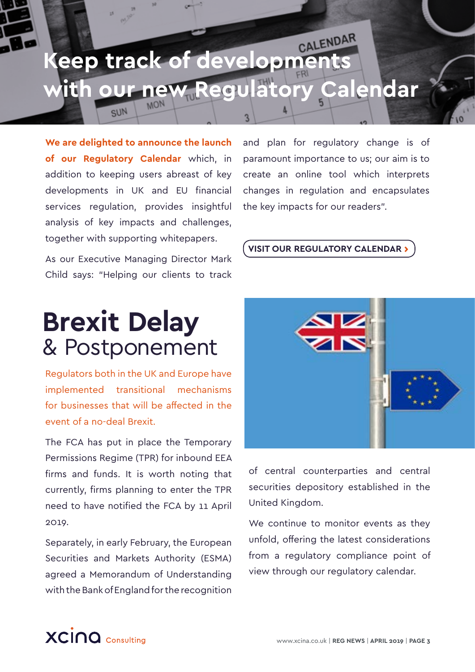# **Keep track of developments with our new Regulatory Calendar**

**We are delighted to announce the launch of our Regulatory Calendar** which, in addition to keeping users abreast of key developments in UK and EU financial services regulation, provides insightful analysis of key impacts and challenges, together with supporting whitepapers.

SUN

As our Executive Managing Director Mark Child says: "Helping our clients to track

## **Brexit Delay** & Postponement

Regulators both in the UK and Europe have implemented transitional mechanisms for businesses that will be affected in the event of a no-deal Brexit.

The FCA has put in place the Temporary Permissions Regime (TPR) for inbound EEA firms and funds. It is worth noting that currently, firms planning to enter the TPR need to have notified the FCA by 11 April 2019.

Separately, in early February, the European Securities and Markets Authority (ESMA) agreed a Memorandum of Understanding with the Bank of England for the recognition

and plan for regulatory change is of paramount importance to us; our aim is to create an online tool which interprets changes in regulation and encapsulates the key impacts for our readers".

#### **VISIT OUR REGULATORY CALENDAR ›**



of central counterparties and central securities depository established in the United Kingdom.

We continue to monitor events as they unfold, offering the latest considerations from a regulatory compliance point of view through our regulatory calendar.

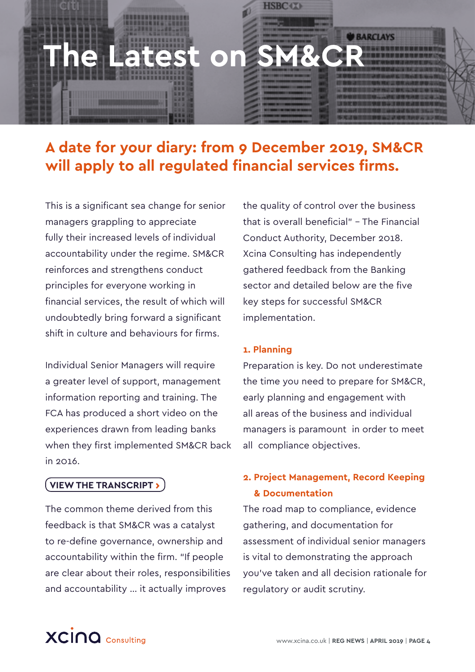

#### **A date for your diary: from 9 December 2019, SM&CR will apply to all regulated financial services firms.**

This is a significant sea change for senior managers grappling to appreciate fully their increased levels of individual accountability under the regime. SM&CR reinforces and strengthens conduct principles for everyone working in financial services, the result of which will undoubtedly bring forward a significant shift in culture and behaviours for firms.

Individual Senior Managers will require a greater level of support, management information reporting and training. The FCA has produced a short video on the experiences drawn from leading banks when they first implemented SM&CR back  $in$  2016.

#### **VIEW THE TRANSCRIPT ›**

The common theme derived from this feedback is that SM&CR was a catalyst to re-define governance, ownership and accountability within the firm. "If people are clear about their roles, responsibilities and accountability … it actually improves

the quality of control over the business that is overall beneficial" – The Financial Conduct Authority, December 2018. Xcina Consulting has independently gathered feedback from the Banking sector and detailed below are the five key steps for successful SM&CR implementation.

#### **1. Planning**

Preparation is key. Do not underestimate the time you need to prepare for SM&CR, early planning and engagement with all areas of the business and individual managers is paramount in order to meet all compliance objectives.

#### **2. Project Management, Record Keeping & Documentation**

The road map to compliance, evidence gathering, and documentation for assessment of individual senior managers is vital to demonstrating the approach you've taken and all decision rationale for regulatory or audit scrutiny.

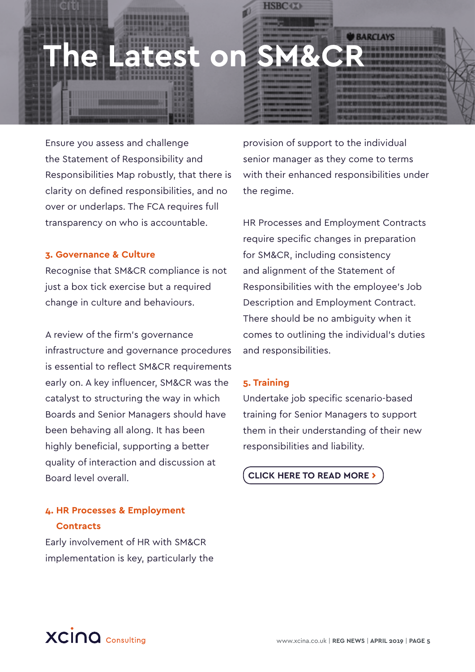

Ensure you assess and challenge the Statement of Responsibility and Responsibilities Map robustly, that there is clarity on defined responsibilities, and no over or underlaps. The FCA requires full transparency on who is accountable.

#### **3. Governance & Culture**

Recognise that SM&CR compliance is not just a box tick exercise but a required change in culture and behaviours.

A review of the firm's governance infrastructure and governance procedures is essential to reflect SM&CR requirements early on. A key influencer, SM&CR was the catalyst to structuring the way in which Boards and Senior Managers should have been behaving all along. It has been highly beneficial, supporting a better quality of interaction and discussion at Board level overall.

#### **4. HR Processes & Employment Contracts**

Early involvement of HR with SM&CR implementation is key, particularly the

provision of support to the individual senior manager as they come to terms with their enhanced responsibilities under the regime.

HR Processes and Employment Contracts require specific changes in preparation for SM&CR, including consistency and alignment of the Statement of Responsibilities with the employee's Job Description and Employment Contract. There should be no ambiguity when it comes to outlining the individual's duties and responsibilities.

#### **5. Training**

Undertake job specific scenario-based training for Senior Managers to support them in their understanding of their new responsibilities and liability.

**CLICK HERE TO READ MORE ›**

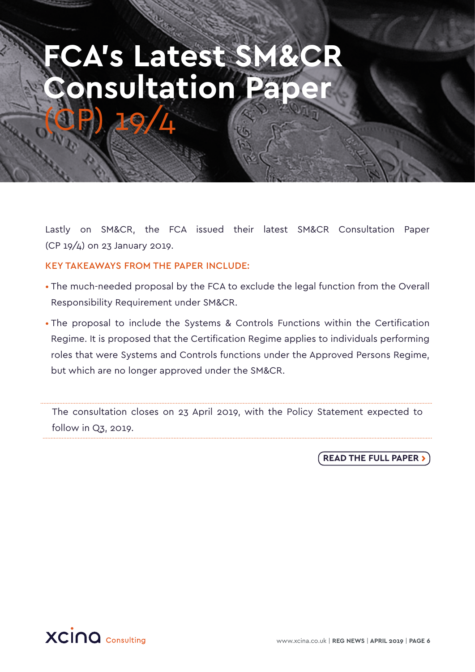## **FCA's Latest SM&CR Consultation Pape** (CP) 19/4

Lastly on SM&CR, the FCA issued their latest SM&CR Consultation Paper (CP 19/4) on 23 January 2019.

KEY TAKEAWAYS FROM THE PAPER INCLUDE:

- The much-needed proposal by the FCA to exclude the legal function from the Overall Responsibility Requirement under SM&CR.
- The proposal to include the Systems & Controls Functions within the Certification Regime. It is proposed that the Certification Regime applies to individuals performing roles that were Systems and Controls functions under the Approved Persons Regime, but which are no longer approved under the SM&CR.

The consultation closes on 23 April 2019, with the Policy Statement expected to follow in Q3, 2019.

**READ THE FULL PAPER ›**

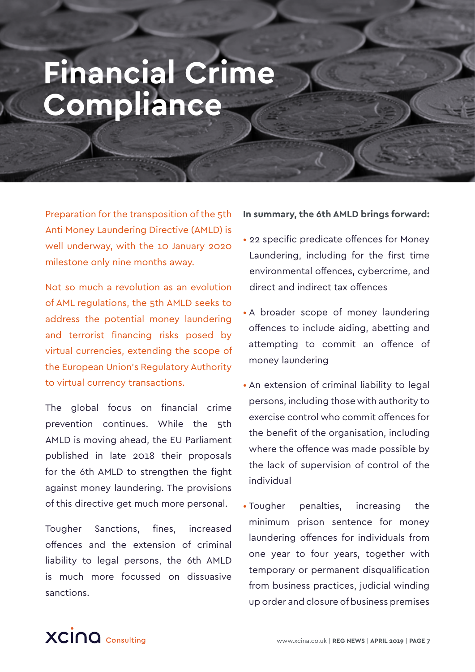# **Financial Crime Compliance**

Preparation for the transposition of the 5th Anti Money Laundering Directive (AMLD) is well underway, with the 10 January 2020 milestone only nine months away.

Not so much a revolution as an evolution of AML regulations, the 5th AMLD seeks to address the potential money laundering and terrorist financing risks posed by virtual currencies, extending the scope of the European Union's Regulatory Authority to virtual currency transactions.

The global focus on financial crime prevention continues. While the 5th AMLD is moving ahead, the EU Parliament published in late 2018 their proposals for the 6th AMLD to strengthen the fight against money laundering. The provisions of this directive get much more personal.

Tougher Sanctions, fines, increased offences and the extension of criminal liability to legal persons, the 6th AMLD is much more focussed on dissuasive sanctions.

#### **In summary, the 6th AMLD brings forward:**

- 22 specific predicate offences for Money Laundering, including for the first time environmental offences, cybercrime, and direct and indirect tax offences
- A broader scope of money laundering offences to include aiding, abetting and attempting to commit an offence of money laundering
- An extension of criminal liability to legal persons, including those with authority to exercise control who commit offences for the benefit of the organisation, including where the offence was made possible by the lack of supervision of control of the individual
- Tougher penalties, increasing the minimum prison sentence for money laundering offences for individuals from one year to four years, together with temporary or permanent disqualification from business practices, judicial winding up order and closure of business premises

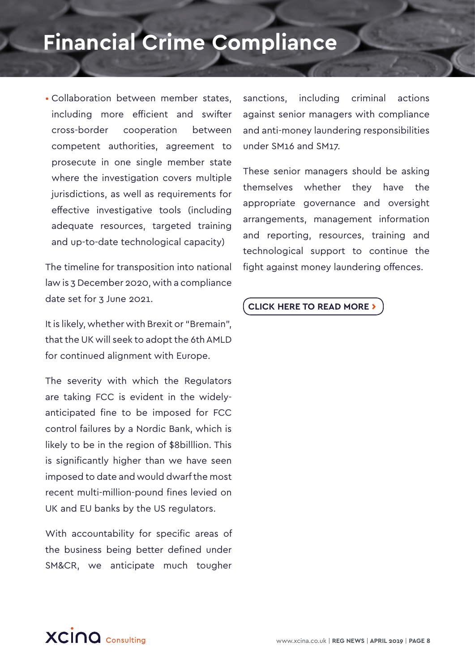## **Financial Crime Compliance**

• Collaboration between member states, including more efficient and swifter cross-border cooperation between competent authorities, agreement to prosecute in one single member state where the investigation covers multiple jurisdictions, as well as requirements for effective investigative tools (including adequate resources, targeted training and up-to-date technological capacity)

The timeline for transposition into national law is 3 December 2020, with a compliance date set for 3 June 2021.

It is likely, whether with Brexit or "Bremain", that the UK will seek to adopt the 6th AMLD for continued alignment with Europe.

The severity with which the Regulators are taking FCC is evident in the widelyanticipated fine to be imposed for FCC control failures by a Nordic Bank, which is likely to be in the region of \$8billlion. This is significantly higher than we have seen imposed to date and would dwarf the most recent multi-million-pound fines levied on UK and EU banks by the US regulators.

With accountability for specific areas of the business being better defined under SM&CR, we anticipate much tougher

sanctions, including criminal actions against senior managers with compliance and anti-money laundering responsibilities under SM16 and SM17.

These senior managers should be asking themselves whether they have the appropriate governance and oversight arrangements, management information and reporting, resources, training and technological support to continue the fight against money laundering offences.

#### **CLICK HERE TO READ MORE ›**